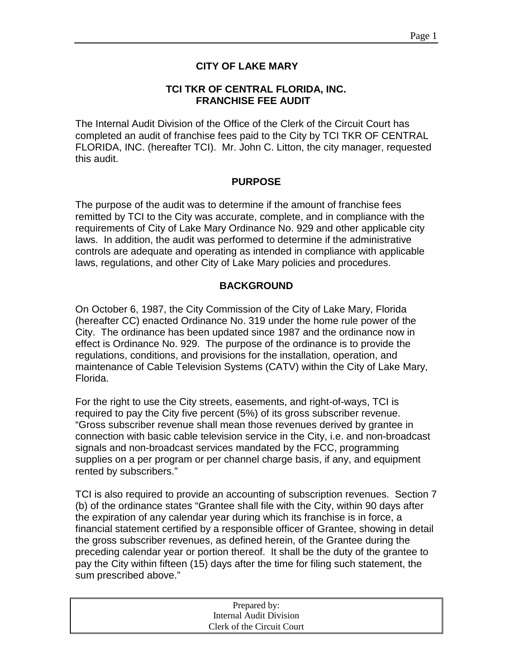## **CITY OF LAKE MARY**

### **TCI TKR OF CENTRAL FLORIDA, INC. FRANCHISE FEE AUDIT**

The Internal Audit Division of the Office of the Clerk of the Circuit Court has completed an audit of franchise fees paid to the City by TCI TKR OF CENTRAL FLORIDA, INC. (hereafter TCI). Mr. John C. Litton, the city manager, requested this audit.

#### **PURPOSE**

The purpose of the audit was to determine if the amount of franchise fees remitted by TCI to the City was accurate, complete, and in compliance with the requirements of City of Lake Mary Ordinance No. 929 and other applicable city laws. In addition, the audit was performed to determine if the administrative controls are adequate and operating as intended in compliance with applicable laws, regulations, and other City of Lake Mary policies and procedures.

### **BACKGROUND**

On October 6, 1987, the City Commission of the City of Lake Mary, Florida (hereafter CC) enacted Ordinance No. 319 under the home rule power of the City. The ordinance has been updated since 1987 and the ordinance now in effect is Ordinance No. 929. The purpose of the ordinance is to provide the regulations, conditions, and provisions for the installation, operation, and maintenance of Cable Television Systems (CATV) within the City of Lake Mary, Florida.

For the right to use the City streets, easements, and right-of-ways, TCI is required to pay the City five percent (5%) of its gross subscriber revenue. "Gross subscriber revenue shall mean those revenues derived by grantee in connection with basic cable television service in the City, i.e. and non-broadcast signals and non-broadcast services mandated by the FCC, programming supplies on a per program or per channel charge basis, if any, and equipment rented by subscribers."

TCI is also required to provide an accounting of subscription revenues. Section 7 (b) of the ordinance states "Grantee shall file with the City, within 90 days after the expiration of any calendar year during which its franchise is in force, a financial statement certified by a responsible officer of Grantee, showing in detail the gross subscriber revenues, as defined herein, of the Grantee during the preceding calendar year or portion thereof. It shall be the duty of the grantee to pay the City within fifteen (15) days after the time for filing such statement, the sum prescribed above."

| Prepared by:               |  |
|----------------------------|--|
| Internal Audit Division    |  |
| Clerk of the Circuit Court |  |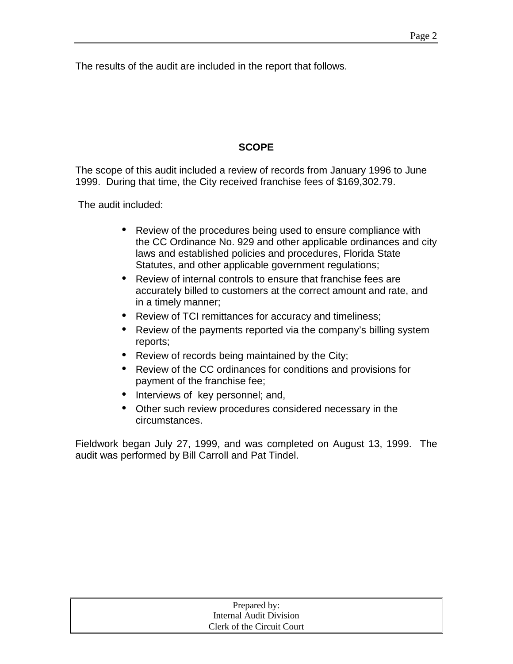The results of the audit are included in the report that follows.

# **SCOPE**

The scope of this audit included a review of records from January 1996 to June 1999. During that time, the City received franchise fees of \$169,302.79.

The audit included:

- Review of the procedures being used to ensure compliance with the CC Ordinance No. 929 and other applicable ordinances and city laws and established policies and procedures, Florida State Statutes, and other applicable government regulations;
- Review of internal controls to ensure that franchise fees are accurately billed to customers at the correct amount and rate, and in a timely manner;
- Review of TCI remittances for accuracy and timeliness;
- Review of the payments reported via the company's billing system reports;
- Review of records being maintained by the City;
- Review of the CC ordinances for conditions and provisions for payment of the franchise fee;
- Interviews of key personnel; and,
- Other such review procedures considered necessary in the circumstances.

Fieldwork began July 27, 1999, and was completed on August 13, 1999. The audit was performed by Bill Carroll and Pat Tindel.

| Prepared by:               |  |
|----------------------------|--|
| Internal Audit Division    |  |
| Clerk of the Circuit Court |  |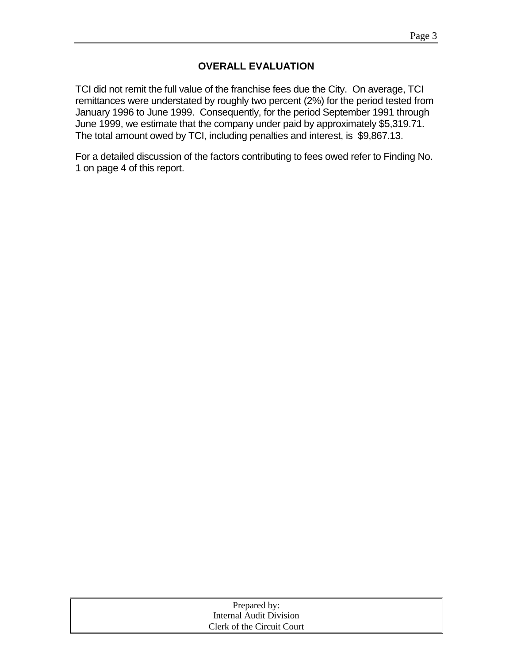### **OVERALL EVALUATION**

TCI did not remit the full value of the franchise fees due the City. On average, TCI remittances were understated by roughly two percent (2%) for the period tested from January 1996 to June 1999. Consequently, for the period September 1991 through June 1999, we estimate that the company under paid by approximately \$5,319.71. The total amount owed by TCI, including penalties and interest, is \$9,867.13.

For a detailed discussion of the factors contributing to fees owed refer to Finding No. 1 on page 4 of this report.

| Prepared by:               |
|----------------------------|
| Internal Audit Division    |
| Clerk of the Circuit Court |